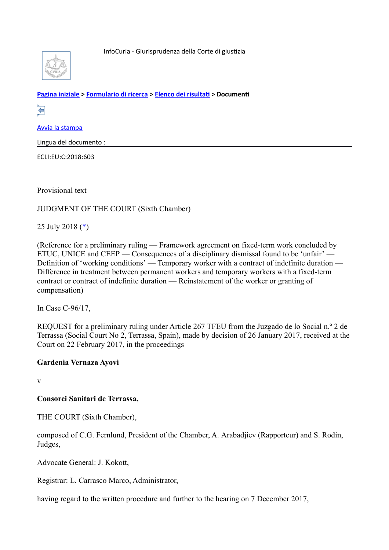

**[Pagina iniziale](http://curia.europa.eu/jcms/jcms/j_6?PortalAction_x_000_userLang=it) > [Formulario di ricerca](http://curia.europa.eu/juris/document/document.jsf?doclang=EN&text=&pageIndex=0&part=1&mode=lst&docid=204393&occ=first&dir=&actionMethod=document%2Fdocument.xhtml%3AformController.resetAction&cid=561448) > [Elenco dei risultat](http://curia.europa.eu/juris/documents.jsf?pro=&lgrec=it&nat=or&oqp=&lg=&dates=&language=it&jur=C%2CT%2CF&cit=none%252CC%252CCJ%252CR%252C2008E%252C%252C%252C%252C%252C%252C%252C%252C%252C%252Ctrue%252Cfalse%252Cfalse&num=C-96%252F17&td=%3BALL&pcs=Oor&avg=&page=1&mat=or&jge=&for=&cid=561448) > Document** 

⇔

[Avvia la stampa](http://curia.europa.eu/juris/document/document_print.jsf?doclang=EN&text=&pageIndex=0&part=1&mode=lst&docid=204393&occ=first&dir=&cid=561448)

Lingua del documento :

ECLI:EU:C:2018:603

Provisional text

JUDGMENT OF THE COURT (Sixth Chamber)

25 July 2018 [\(\\*\)](http://curia.europa.eu/juris/document/document.jsf?text=&docid=204393&pageIndex=0&doclang=EN&mode=lst&dir=&occ=first&part=1&cid=561448#Footnote*)

(Reference for a preliminary ruling — Framework agreement on fixed-term work concluded by ETUC, UNICE and CEEP — Consequences of a disciplinary dismissal found to be 'unfair' — Definition of 'working conditions' — Temporary worker with a contract of indefinite duration — Difference in treatment between permanent workers and temporary workers with a fixed-term contract or contract of indefinite duration — Reinstatement of the worker or granting of compensation)

In Case C-96/17,

REQUEST for a preliminary ruling under Article 267 TFEU from the Juzgado de lo Social n.º 2 de Terrassa (Social Court No 2, Terrassa, Spain), made by decision of 26 January 2017, received at the Court on 22 February 2017, in the proceedings

### **Gardenia Vernaza Ayovi**

v

### **Consorci Sanitari de Terrassa,**

THE COURT (Sixth Chamber),

composed of C.G. Fernlund, President of the Chamber, A. Arabadjiev (Rapporteur) and S. Rodin, Judges,

Advocate General: J. Kokott,

Registrar: L. Carrasco Marco, Administrator,

having regard to the written procedure and further to the hearing on 7 December 2017,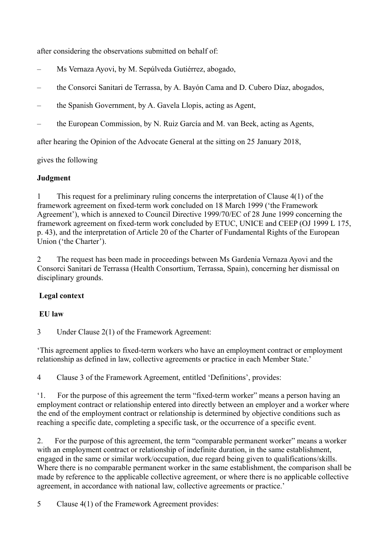after considering the observations submitted on behalf of:

- Ms Vernaza Ayovi, by M. Sepúlveda Gutiérrez, abogado,
- the Consorci Sanitari de Terrassa, by A. Bayón Cama and D. Cubero Díaz, abogados,
- the Spanish Government, by A. Gavela Llopis, acting as Agent,
- the European Commission, by N. Ruiz García and M. van Beek, acting as Agents,

after hearing the Opinion of the Advocate General at the sitting on 25 January 2018,

gives the following

### **Judgment**

1 This request for a preliminary ruling concerns the interpretation of Clause 4(1) of the framework agreement on fixed-term work concluded on 18 March 1999 ('the Framework Agreement'), which is annexed to Council Directive 1999/70/EC of 28 June 1999 concerning the framework agreement on fixed-term work concluded by ETUC, UNICE and CEEP (OJ 1999 L 175, p. 43), and the interpretation of Article 20 of the Charter of Fundamental Rights of the European Union ('the Charter').

2 The request has been made in proceedings between Ms Gardenia Vernaza Ayovi and the Consorci Sanitari de Terrassa (Health Consortium, Terrassa, Spain), concerning her dismissal on disciplinary grounds.

# **Legal context**

# **EU law**

3 Under Clause 2(1) of the Framework Agreement:

'This agreement applies to fixed-term workers who have an employment contract or employment relationship as defined in law, collective agreements or practice in each Member State.'

4 Clause 3 of the Framework Agreement, entitled 'Definitions', provides:

'1. For the purpose of this agreement the term "fixed-term worker" means a person having an employment contract or relationship entered into directly between an employer and a worker where the end of the employment contract or relationship is determined by objective conditions such as reaching a specific date, completing a specific task, or the occurrence of a specific event.

2. For the purpose of this agreement, the term "comparable permanent worker" means a worker with an employment contract or relationship of indefinite duration, in the same establishment, engaged in the same or similar work/occupation, due regard being given to qualifications/skills. Where there is no comparable permanent worker in the same establishment, the comparison shall be made by reference to the applicable collective agreement, or where there is no applicable collective agreement, in accordance with national law, collective agreements or practice.'

5 Clause 4(1) of the Framework Agreement provides: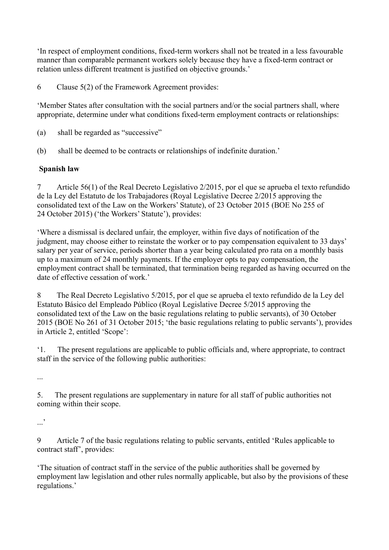'In respect of employment conditions, fixed-term workers shall not be treated in a less favourable manner than comparable permanent workers solely because they have a fixed-term contract or relation unless different treatment is justified on objective grounds.'

6 Clause 5(2) of the Framework Agreement provides:

'Member States after consultation with the social partners and/or the social partners shall, where appropriate, determine under what conditions fixed-term employment contracts or relationships:

- (a) shall be regarded as "successive"
- (b) shall be deemed to be contracts or relationships of indefinite duration.'

# **Spanish law**

7 Article 56(1) of the Real Decreto Legislativo 2/2015, por el que se aprueba el texto refundido de la Ley del Estatuto de los Trabajadores (Royal Legislative Decree 2/2015 approving the consolidated text of the Law on the Workers' Statute), of 23 October 2015 (BOE No 255 of 24 October 2015) ('the Workers' Statute'), provides:

'Where a dismissal is declared unfair, the employer, within five days of notification of the judgment, may choose either to reinstate the worker or to pay compensation equivalent to 33 days' salary per year of service, periods shorter than a year being calculated pro rata on a monthly basis up to a maximum of 24 monthly payments. If the employer opts to pay compensation, the employment contract shall be terminated, that termination being regarded as having occurred on the date of effective cessation of work.

8 The Real Decreto Legislativo 5/2015, por el que se aprueba el texto refundido de la Ley del Estatuto Básico del Empleado Público (Royal Legislative Decree 5/2015 approving the consolidated text of the Law on the basic regulations relating to public servants), of 30 October 2015 (BOE No 261 of 31 October 2015; 'the basic regulations relating to public servants'), provides in Article 2, entitled 'Scope':

'1. The present regulations are applicable to public officials and, where appropriate, to contract staff in the service of the following public authorities:

...

5. The present regulations are supplementary in nature for all staff of public authorities not coming within their scope.

 $\cdot$ . $\cdot$ 

9 Article 7 of the basic regulations relating to public servants, entitled 'Rules applicable to contract staff', provides:

'The situation of contract staff in the service of the public authorities shall be governed by employment law legislation and other rules normally applicable, but also by the provisions of these regulations.'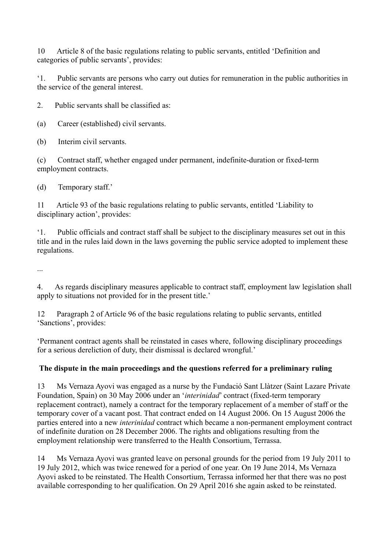10 Article 8 of the basic regulations relating to public servants, entitled 'Definition and categories of public servants', provides:

'1. Public servants are persons who carry out duties for remuneration in the public authorities in the service of the general interest.

2. Public servants shall be classified as:

(a) Career (established) civil servants.

(b) Interim civil servants.

(c) Contract staff, whether engaged under permanent, indefinite-duration or fixed-term employment contracts.

(d) Temporary staff.'

11 Article 93 of the basic regulations relating to public servants, entitled 'Liability to disciplinary action', provides:

'1. Public officials and contract staff shall be subject to the disciplinary measures set out in this title and in the rules laid down in the laws governing the public service adopted to implement these regulations.

...

4. As regards disciplinary measures applicable to contract staff, employment law legislation shall apply to situations not provided for in the present title.'

12 Paragraph 2 of Article 96 of the basic regulations relating to public servants, entitled 'Sanctions', provides:

'Permanent contract agents shall be reinstated in cases where, following disciplinary proceedings for a serious dereliction of duty, their dismissal is declared wrongful.'

# **The dispute in the main proceedings and the questions referred for a preliminary ruling**

13 Ms Vernaza Ayovi was engaged as a nurse by the Fundació Sant Llàtzer (Saint Lazare Private Foundation, Spain) on 30 May 2006 under an '*interinidad*' contract (fixed-term temporary replacement contract), namely a contract for the temporary replacement of a member of staff or the temporary cover of a vacant post. That contract ended on 14 August 2006. On 15 August 2006 the parties entered into a new *interinidad* contract which became a non-permanent employment contract of indefinite duration on 28 December 2006. The rights and obligations resulting from the employment relationship were transferred to the Health Consortium, Terrassa.

14 Ms Vernaza Ayovi was granted leave on personal grounds for the period from 19 July 2011 to 19 July 2012, which was twice renewed for a period of one year. On 19 June 2014, Ms Vernaza Ayovi asked to be reinstated. The Health Consortium, Terrassa informed her that there was no post available corresponding to her qualification. On 29 April 2016 she again asked to be reinstated.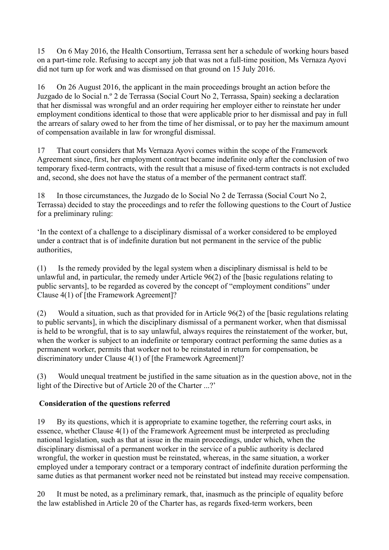15 On 6 May 2016, the Health Consortium, Terrassa sent her a schedule of working hours based on a part-time role. Refusing to accept any job that was not a full-time position, Ms Vernaza Ayovi did not turn up for work and was dismissed on that ground on 15 July 2016.

16 On 26 August 2016, the applicant in the main proceedings brought an action before the Juzgado de lo Social n.º 2 de Terrassa (Social Court No 2, Terrassa, Spain) seeking a declaration that her dismissal was wrongful and an order requiring her employer either to reinstate her under employment conditions identical to those that were applicable prior to her dismissal and pay in full the arrears of salary owed to her from the time of her dismissal, or to pay her the maximum amount of compensation available in law for wrongful dismissal.

17 That court considers that Ms Vernaza Ayovi comes within the scope of the Framework Agreement since, first, her employment contract became indefinite only after the conclusion of two temporary fixed-term contracts, with the result that a misuse of fixed-term contracts is not excluded and, second, she does not have the status of a member of the permanent contract staff.

18 In those circumstances, the Juzgado de lo Social No 2 de Terrassa (Social Court No 2, Terrassa) decided to stay the proceedings and to refer the following questions to the Court of Justice for a preliminary ruling:

'In the context of a challenge to a disciplinary dismissal of a worker considered to be employed under a contract that is of indefinite duration but not permanent in the service of the public authorities,

(1) Is the remedy provided by the legal system when a disciplinary dismissal is held to be unlawful and, in particular, the remedy under Article 96(2) of the [basic regulations relating to public servants], to be regarded as covered by the concept of "employment conditions" under Clause 4(1) of [the Framework Agreement]?

(2) Would a situation, such as that provided for in Article 96(2) of the [basic regulations relating to public servants], in which the disciplinary dismissal of a permanent worker, when that dismissal is held to be wrongful, that is to say unlawful, always requires the reinstatement of the worker, but, when the worker is subject to an indefinite or temporary contract performing the same duties as a permanent worker, permits that worker not to be reinstated in return for compensation, be discriminatory under Clause 4(1) of [the Framework Agreement]?

(3) Would unequal treatment be justified in the same situation as in the question above, not in the light of the Directive but of Article 20 of the Charter ...?'

# **Consideration of the questions referred**

19 By its questions, which it is appropriate to examine together, the referring court asks, in essence, whether Clause 4(1) of the Framework Agreement must be interpreted as precluding national legislation, such as that at issue in the main proceedings, under which, when the disciplinary dismissal of a permanent worker in the service of a public authority is declared wrongful, the worker in question must be reinstated, whereas, in the same situation, a worker employed under a temporary contract or a temporary contract of indefinite duration performing the same duties as that permanent worker need not be reinstated but instead may receive compensation.

20 It must be noted, as a preliminary remark, that, inasmuch as the principle of equality before the law established in Article 20 of the Charter has, as regards fixed-term workers, been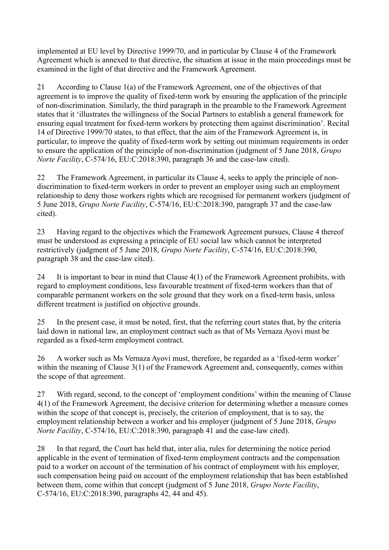implemented at EU level by Directive 1999/70, and in particular by Clause 4 of the Framework Agreement which is annexed to that directive, the situation at issue in the main proceedings must be examined in the light of that directive and the Framework Agreement.

21 According to Clause 1(a) of the Framework Agreement, one of the objectives of that agreement is to improve the quality of fixed-term work by ensuring the application of the principle of non-discrimination. Similarly, the third paragraph in the preamble to the Framework Agreement states that it 'illustrates the willingness of the Social Partners to establish a general framework for ensuring equal treatment for fixed-term workers by protecting them against discrimination'. Recital 14 of Directive 1999/70 states, to that effect, that the aim of the Framework Agreement is, in particular, to improve the quality of fixed-term work by setting out minimum requirements in order to ensure the application of the principle of non-discrimination (judgment of 5 June 2018, *Grupo Norte Facility*, C-574/16, EU:C:2018:390, paragraph 36 and the case-law cited).

22 The Framework Agreement, in particular its Clause 4, seeks to apply the principle of nondiscrimination to fixed-term workers in order to prevent an employer using such an employment relationship to deny those workers rights which are recognised for permanent workers (judgment of 5 June 2018, *Grupo Norte Facility*, C-574/16, EU:C:2018:390, paragraph 37 and the case-law cited).

23 Having regard to the objectives which the Framework Agreement pursues, Clause 4 thereof must be understood as expressing a principle of EU social law which cannot be interpreted restrictively (judgment of 5 June 2018, *Grupo Norte Facility*, C-574/16, EU:C:2018:390, paragraph 38 and the case-law cited).

24 It is important to bear in mind that Clause 4(1) of the Framework Agreement prohibits, with regard to employment conditions, less favourable treatment of fixed-term workers than that of comparable permanent workers on the sole ground that they work on a fixed-term basis, unless different treatment is justified on objective grounds.

25 In the present case, it must be noted, first, that the referring court states that, by the criteria laid down in national law, an employment contract such as that of Ms Vernaza Ayovi must be regarded as a fixed-term employment contract.

26 A worker such as Ms Vernaza Ayovi must, therefore, be regarded as a 'fixed-term worker' within the meaning of Clause 3(1) of the Framework Agreement and, consequently, comes within the scope of that agreement.

27 With regard, second, to the concept of 'employment conditions' within the meaning of Clause 4(1) of the Framework Agreement, the decisive criterion for determining whether a measure comes within the scope of that concept is, precisely, the criterion of employment, that is to say, the employment relationship between a worker and his employer (judgment of 5 June 2018, *Grupo Norte Facility*, C-574/16, EU:C:2018:390, paragraph 41 and the case-law cited).

28 In that regard, the Court has held that, inter alia, rules for determining the notice period applicable in the event of termination of fixed-term employment contracts and the compensation paid to a worker on account of the termination of his contract of employment with his employer, such compensation being paid on account of the employment relationship that has been established between them, come within that concept (judgment of 5 June 2018, *Grupo Norte Facility*, C-574/16, EU:C:2018:390, paragraphs 42, 44 and 45).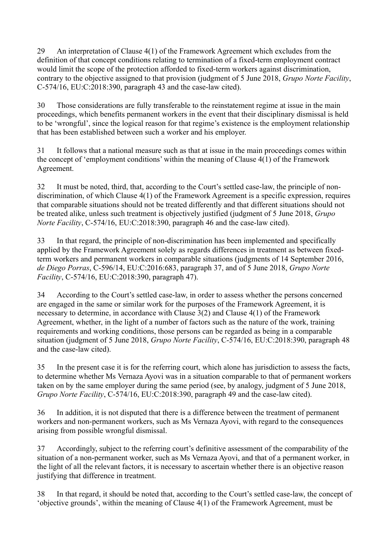29 An interpretation of Clause 4(1) of the Framework Agreement which excludes from the definition of that concept conditions relating to termination of a fixed-term employment contract would limit the scope of the protection afforded to fixed-term workers against discrimination, contrary to the objective assigned to that provision (judgment of 5 June 2018, *Grupo Norte Facility*, C-574/16, EU:C:2018:390, paragraph 43 and the case-law cited).

30 Those considerations are fully transferable to the reinstatement regime at issue in the main proceedings, which benefits permanent workers in the event that their disciplinary dismissal is held to be 'wrongful', since the logical reason for that regime's existence is the employment relationship that has been established between such a worker and his employer.

31 It follows that a national measure such as that at issue in the main proceedings comes within the concept of 'employment conditions' within the meaning of Clause 4(1) of the Framework Agreement.

32 It must be noted, third, that, according to the Court's settled case-law, the principle of nondiscrimination, of which Clause 4(1) of the Framework Agreement is a specific expression, requires that comparable situations should not be treated differently and that different situations should not be treated alike, unless such treatment is objectively justified (judgment of 5 June 2018, *Grupo Norte Facility*, C-574/16, EU:C:2018:390, paragraph 46 and the case-law cited).

33 In that regard, the principle of non-discrimination has been implemented and specifically applied by the Framework Agreement solely as regards differences in treatment as between fixedterm workers and permanent workers in comparable situations (judgments of 14 September 2016, *de Diego Porras*, C-596/14, EU:C:2016:683, paragraph 37, and of 5 June 2018, *Grupo Norte Facility*, C-574/16, EU:C:2018:390, paragraph 47).

34 According to the Court's settled case-law, in order to assess whether the persons concerned are engaged in the same or similar work for the purposes of the Framework Agreement, it is necessary to determine, in accordance with Clause 3(2) and Clause 4(1) of the Framework Agreement, whether, in the light of a number of factors such as the nature of the work, training requirements and working conditions, those persons can be regarded as being in a comparable situation (judgment of 5 June 2018, *Grupo Norte Facility*, C-574/16, EU:C:2018:390, paragraph 48 and the case-law cited).

35 In the present case it is for the referring court, which alone has jurisdiction to assess the facts, to determine whether Ms Vernaza Ayovi was in a situation comparable to that of permanent workers taken on by the same employer during the same period (see, by analogy, judgment of 5 June 2018, *Grupo Norte Facility*, C-574/16, EU:C:2018:390, paragraph 49 and the case-law cited).

36 In addition, it is not disputed that there is a difference between the treatment of permanent workers and non-permanent workers, such as Ms Vernaza Ayovi, with regard to the consequences arising from possible wrongful dismissal.

37 Accordingly, subject to the referring court's definitive assessment of the comparability of the situation of a non-permanent worker, such as Ms Vernaza Ayovi, and that of a permanent worker, in the light of all the relevant factors, it is necessary to ascertain whether there is an objective reason justifying that difference in treatment.

38 In that regard, it should be noted that, according to the Court's settled case-law, the concept of 'objective grounds', within the meaning of Clause 4(1) of the Framework Agreement, must be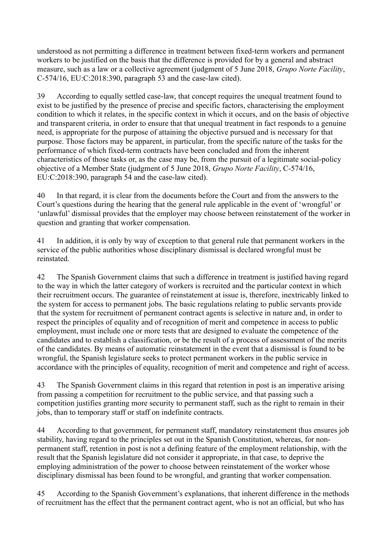understood as not permitting a difference in treatment between fixed-term workers and permanent workers to be justified on the basis that the difference is provided for by a general and abstract measure, such as a law or a collective agreement (judgment of 5 June 2018, *Grupo Norte Facility*, C-574/16, EU:C:2018:390, paragraph 53 and the case-law cited).

39 According to equally settled case-law, that concept requires the unequal treatment found to exist to be justified by the presence of precise and specific factors, characterising the employment condition to which it relates, in the specific context in which it occurs, and on the basis of objective and transparent criteria, in order to ensure that that unequal treatment in fact responds to a genuine need, is appropriate for the purpose of attaining the objective pursued and is necessary for that purpose. Those factors may be apparent, in particular, from the specific nature of the tasks for the performance of which fixed-term contracts have been concluded and from the inherent characteristics of those tasks or, as the case may be, from the pursuit of a legitimate social-policy objective of a Member State (judgment of 5 June 2018, *Grupo Norte Facility*, C-574/16, EU:C:2018:390, paragraph 54 and the case-law cited).

40 In that regard, it is clear from the documents before the Court and from the answers to the Court's questions during the hearing that the general rule applicable in the event of 'wrongful' or 'unlawful' dismissal provides that the employer may choose between reinstatement of the worker in question and granting that worker compensation.

41 In addition, it is only by way of exception to that general rule that permanent workers in the service of the public authorities whose disciplinary dismissal is declared wrongful must be reinstated.

42 The Spanish Government claims that such a difference in treatment is justified having regard to the way in which the latter category of workers is recruited and the particular context in which their recruitment occurs. The guarantee of reinstatement at issue is, therefore, inextricably linked to the system for access to permanent jobs. The basic regulations relating to public servants provide that the system for recruitment of permanent contract agents is selective in nature and, in order to respect the principles of equality and of recognition of merit and competence in access to public employment, must include one or more tests that are designed to evaluate the competence of the candidates and to establish a classification, or be the result of a process of assessment of the merits of the candidates. By means of automatic reinstatement in the event that a dismissal is found to be wrongful, the Spanish legislature seeks to protect permanent workers in the public service in accordance with the principles of equality, recognition of merit and competence and right of access.

43 The Spanish Government claims in this regard that retention in post is an imperative arising from passing a competition for recruitment to the public service, and that passing such a competition justifies granting more security to permanent staff, such as the right to remain in their jobs, than to temporary staff or staff on indefinite contracts.

44 According to that government, for permanent staff, mandatory reinstatement thus ensures job stability, having regard to the principles set out in the Spanish Constitution, whereas, for nonpermanent staff, retention in post is not a defining feature of the employment relationship, with the result that the Spanish legislature did not consider it appropriate, in that case, to deprive the employing administration of the power to choose between reinstatement of the worker whose disciplinary dismissal has been found to be wrongful, and granting that worker compensation.

45 According to the Spanish Government's explanations, that inherent difference in the methods of recruitment has the effect that the permanent contract agent, who is not an official, but who has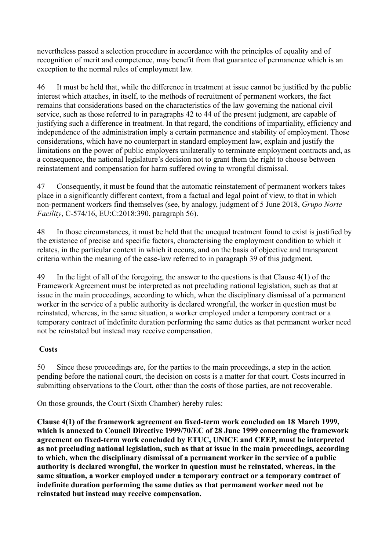nevertheless passed a selection procedure in accordance with the principles of equality and of recognition of merit and competence, may benefit from that guarantee of permanence which is an exception to the normal rules of employment law.

46 It must be held that, while the difference in treatment at issue cannot be justified by the public interest which attaches, in itself, to the methods of recruitment of permanent workers, the fact remains that considerations based on the characteristics of the law governing the national civil service, such as those referred to in paragraphs 42 to 44 of the present judgment, are capable of justifying such a difference in treatment. In that regard, the conditions of impartiality, efficiency and independence of the administration imply a certain permanence and stability of employment. Those considerations, which have no counterpart in standard employment law, explain and justify the limitations on the power of public employers unilaterally to terminate employment contracts and, as a consequence, the national legislature's decision not to grant them the right to choose between reinstatement and compensation for harm suffered owing to wrongful dismissal.

47 Consequently, it must be found that the automatic reinstatement of permanent workers takes place in a significantly different context, from a factual and legal point of view, to that in which non-permanent workers find themselves (see, by analogy, judgment of 5 June 2018, *Grupo Norte Facility*, C-574/16, EU:C:2018:390, paragraph 56).

48 In those circumstances, it must be held that the unequal treatment found to exist is justified by the existence of precise and specific factors, characterising the employment condition to which it relates, in the particular context in which it occurs, and on the basis of objective and transparent criteria within the meaning of the case-law referred to in paragraph 39 of this judgment.

49 In the light of all of the foregoing, the answer to the questions is that Clause 4(1) of the Framework Agreement must be interpreted as not precluding national legislation, such as that at issue in the main proceedings, according to which, when the disciplinary dismissal of a permanent worker in the service of a public authority is declared wrongful, the worker in question must be reinstated, whereas, in the same situation, a worker employed under a temporary contract or a temporary contract of indefinite duration performing the same duties as that permanent worker need not be reinstated but instead may receive compensation.

# **Costs**

50 Since these proceedings are, for the parties to the main proceedings, a step in the action pending before the national court, the decision on costs is a matter for that court. Costs incurred in submitting observations to the Court, other than the costs of those parties, are not recoverable.

On those grounds, the Court (Sixth Chamber) hereby rules:

**Clause 4(1) of the framework agreement on fixed-term work concluded on 18 March 1999, which is annexed to Council Directive 1999/70/EC of 28 June 1999 concerning the framework agreement on fixed-term work concluded by ETUC, UNICE and CEEP, must be interpreted as not precluding national legislation, such as that at issue in the main proceedings, according to which, when the disciplinary dismissal of a permanent worker in the service of a public authority is declared wrongful, the worker in question must be reinstated, whereas, in the same situation, a worker employed under a temporary contract or a temporary contract of indefinite duration performing the same duties as that permanent worker need not be reinstated but instead may receive compensation.**